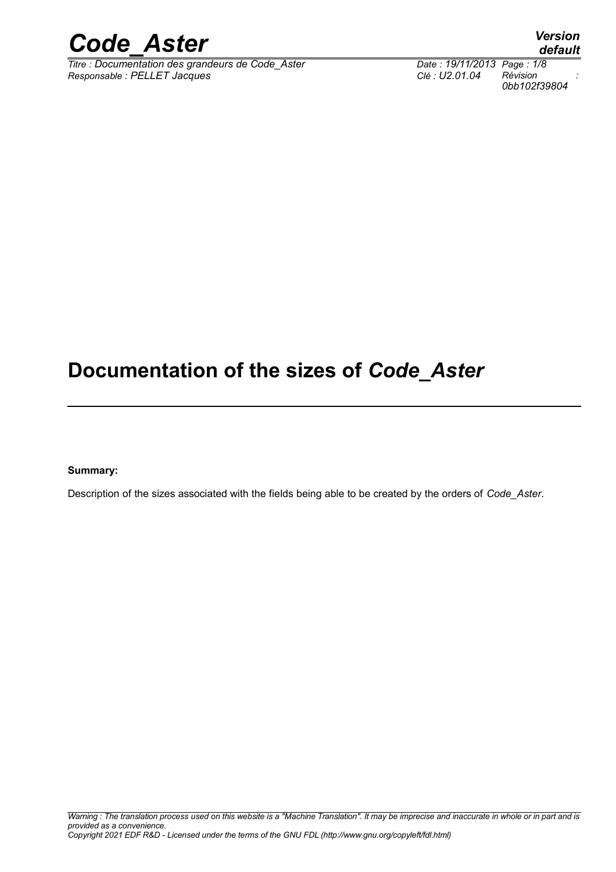

*Titre : Documentation des grandeurs de Code\_Aster Date : 19/11/2013 Page : 1/8 Responsable : PELLET Jacques Clé : U2.01.04 Révision :*

*0bb102f39804*

## **Documentation of the sizes of** *Code\_Aster*

**Summary:**

Description of the sizes associated with the fields being able to be created by the orders of *Code\_Aster*.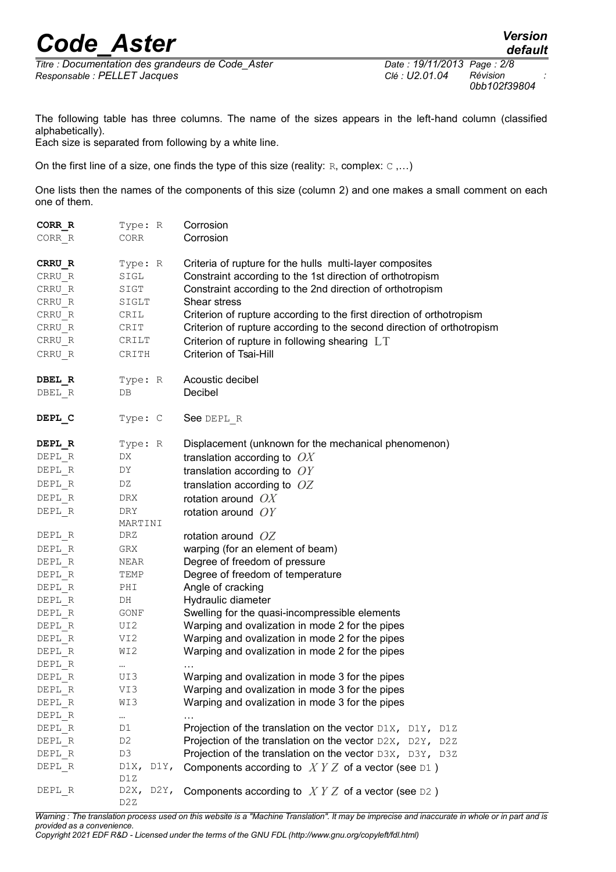## *Code\_Aster Version*

 $T Time : *Documentation des arandeurs de Code Aster*$ </u> *Responsable : PELLET Jacques Clé : U2.01.04 Révision :*

*0bb102f39804*

The following table has three columns. The name of the sizes appears in the left-hand column (classified alphabetically).

Each size is separated from following by a white line.

On the first line of a size, one finds the type of this size (reality: R, complex: C,...)

One lists then the names of the components of this size (column 2) and one makes a small comment on each one of them.

| CORR R | Type: R                                      | Corrosion                                                               |
|--------|----------------------------------------------|-------------------------------------------------------------------------|
| CORR R | CORR                                         | Corrosion                                                               |
| CRRU R | Type: R                                      | Criteria of rupture for the hulls multi-layer composites                |
| CRRU R | $\texttt{SIGL}$                              | Constraint according to the 1st direction of orthotropism               |
| CRRU R | SIGT                                         | Constraint according to the 2nd direction of orthotropism               |
| CRRU R | SIGLT                                        | Shear stress                                                            |
| CRRU R | CRIL                                         | Criterion of rupture according to the first direction of orthotropism   |
| CRRU R | CRIT                                         | Criterion of rupture according to the second direction of orthotropism  |
| CRRU R | CRILT                                        |                                                                         |
|        |                                              | Criterion of rupture in following shearing LT<br>Criterion of Tsai-Hill |
| CRRU R | CRITH                                        |                                                                         |
| DBEL R | Type: R                                      | Acoustic decibel                                                        |
| DBEL R | DB                                           | Decibel                                                                 |
|        |                                              |                                                                         |
| DEPL C | Type: C                                      | See DEPL R                                                              |
|        |                                              |                                                                         |
| DEPL R | Type: R                                      | Displacement (unknown for the mechanical phenomenon)                    |
| DEPL R | DX                                           | translation according to $OX$                                           |
| DEPL R | DY                                           | translation according to $OY$                                           |
| DEPL R | DZ                                           | translation according to $OZ$                                           |
| DEPL R | DRX                                          | rotation around $OX$                                                    |
| DEPL R | DRY                                          | rotation around $OY$                                                    |
|        | MARTINI                                      |                                                                         |
| DEPL R | DRZ                                          | rotation around $OZ$                                                    |
| DEPL R | GRX                                          | warping (for an element of beam)                                        |
| DEPL R | NEAR                                         | Degree of freedom of pressure                                           |
| DEPL R | TEMP                                         | Degree of freedom of temperature                                        |
| DEPL R | PHI                                          | Angle of cracking                                                       |
| DEPL R | DH                                           | Hydraulic diameter                                                      |
| DEPL R | GONF                                         | Swelling for the quasi-incompressible elements                          |
| DEPL R | UI2                                          | Warping and ovalization in mode 2 for the pipes                         |
| DEPL R | VI2                                          | Warping and ovalization in mode 2 for the pipes                         |
| DEPL R | WI2                                          | Warping and ovalization in mode 2 for the pipes                         |
| DEPL R | $\cdots$                                     |                                                                         |
| DEPL R | UI3                                          | Warping and ovalization in mode 3 for the pipes                         |
| DEPL R | VI3                                          | Warping and ovalization in mode 3 for the pipes                         |
| DEPL R | WI3                                          | Warping and ovalization in mode 3 for the pipes                         |
| DEPL R |                                              | .                                                                       |
| DEPL R | D1                                           | Projection of the translation on the vector D1X, D1Y, D1Z               |
| DEPL R | D2                                           | Projection of the translation on the vector $D2X$ , $D2Y$ , $D2Z$       |
| DEPL R | D3                                           | Projection of the translation on the vector D3X, D3Y, D3Z               |
| DEPL R | $\text{D1X}_{\ell}$<br>$\text{DIV}$ ,<br>D1Z | Components according to $XYZ$ of a vector (see D1)                      |
| DEPL R | D2X, D2Y,<br>D <sub>2</sub> z                | Components according to $XYZ$ of a vector (see D2)                      |

*Warning : The translation process used on this website is a "Machine Translation". It may be imprecise and inaccurate in whole or in part and is provided as a convenience. Copyright 2021 EDF R&D - Licensed under the terms of the GNU FDL (http://www.gnu.org/copyleft/fdl.html)*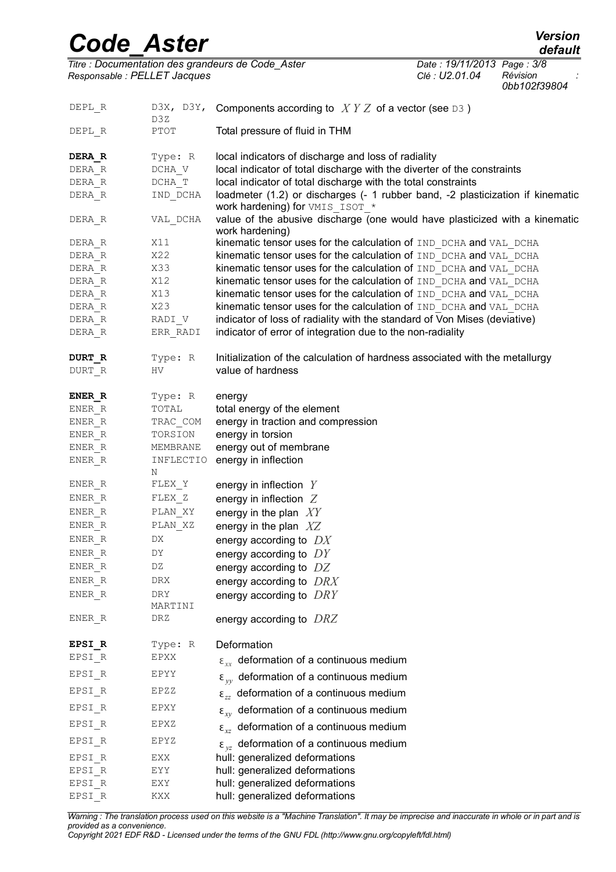| Version |
|---------|
| default |

*Code\_Aster*<br>Titre : Documentation des grandeurs de Code Aster<br>Titre : Documentation des grandeurs de Code Aster Date : 19/11/2013 Page : 3/8 *Titre : Documentation des grandeurs de Code\_Aster Date : 19/11/2013 Page : 3/8 Responsable : PELLET Jacques Clé : U2.01.04 Révision :*

*0bb102f39804*

| DEPL R | D3Z       | D3X, D3Y, Components according to $XYZ$ of a vector (see D3)                                                      |
|--------|-----------|-------------------------------------------------------------------------------------------------------------------|
| DEPL R | PTOT      | Total pressure of fluid in THM                                                                                    |
| DERA R | Type: R   | local indicators of discharge and loss of radiality                                                               |
| DERA R | DCHA V    | local indicator of total discharge with the diverter of the constraints                                           |
| DERA R | DCHA T    | local indicator of total discharge with the total constraints                                                     |
| DERA R | IND DCHA  | loadmeter (1.2) or discharges (- 1 rubber band, -2 plasticization if kinematic<br>work hardening) for VMIS ISOT * |
| DERA R | VAL DCHA  | value of the abusive discharge (one would have plasticized with a kinematic<br>work hardening)                    |
| DERA R | X11       | kinematic tensor uses for the calculation of IND DCHA and VAL DCHA                                                |
| DERA R | X22       | kinematic tensor uses for the calculation of IND DCHA and VAL DCHA                                                |
| DERA R | X33       | kinematic tensor uses for the calculation of IND DCHA and VAL DCHA                                                |
| DERA R | X12       | kinematic tensor uses for the calculation of IND DCHA and VAL DCHA                                                |
| DERA R | X13       | kinematic tensor uses for the calculation of IND DCHA and VAL DCHA                                                |
| DERA R | X23       | kinematic tensor uses for the calculation of IND DCHA and VAL DCHA                                                |
| DERA R | RADI V    | indicator of loss of radiality with the standard of Von Mises (deviative)                                         |
| DERA R | ERR RADI  | indicator of error of integration due to the non-radiality                                                        |
| DURT R | Type: R   | Initialization of the calculation of hardness associated with the metallurgy                                      |
| DURT R | HV        | value of hardness                                                                                                 |
| ENER R | Type: R   | energy                                                                                                            |
| ENER R | TOTAL     | total energy of the element                                                                                       |
| ENER R | TRAC COM  | energy in traction and compression                                                                                |
| ENER R | TORSION   | energy in torsion                                                                                                 |
| ENER R | MEMBRANE  | energy out of membrane                                                                                            |
| ENER R | INFLECTIO | energy in inflection                                                                                              |
|        | Ν         |                                                                                                                   |
| ENER R | FLEX Y    | energy in inflection $Y$                                                                                          |
| ENER R | FLEX Z    | energy in inflection $Z$                                                                                          |
| ENER R | PLAN XY   | energy in the plan $XY$                                                                                           |
| ENER R | PLAN XZ   | energy in the plan $XZ$                                                                                           |
| ENER R | DX        | energy according to $DX$                                                                                          |
| ENER R | DΥ        | energy according to $DY$                                                                                          |
| ENER R | DZ        | energy according to $DZ$                                                                                          |
| ENER R | DRX       | energy according to DRX                                                                                           |
| ENER R | DRY       |                                                                                                                   |
|        | MARTINI   | energy according to $DRY$                                                                                         |
| ENER R | DRZ       | energy according to $DRZ$                                                                                         |
| EPSI R | Type: R   | Deformation                                                                                                       |
| EPSI R | EPXX      | $\epsilon_{xx}$ deformation of a continuous medium                                                                |
| EPSI R | EPYY      | $\epsilon_{\nu\nu}$ deformation of a continuous medium                                                            |
| EPSI R | EPZZ      | $\epsilon_{zz}$ deformation of a continuous medium                                                                |
| EPSI R | EPXY      | $\epsilon_{xy}$ deformation of a continuous medium                                                                |
| EPSI R | EPXZ      | $\epsilon_{xz}$ deformation of a continuous medium                                                                |
| EPSI R | EPYZ      | $\epsilon_{vz}$ deformation of a continuous medium                                                                |
| EPSI R | EXX       | hull: generalized deformations                                                                                    |
| EPSI R | EYY       | hull: generalized deformations                                                                                    |
| EPSI R | EXY       | hull: generalized deformations                                                                                    |
| EPSI R | KXX       | hull: generalized deformations                                                                                    |
|        |           |                                                                                                                   |

*Warning : The translation process used on this website is a "Machine Translation". It may be imprecise and inaccurate in whole or in part and is provided as a convenience. Copyright 2021 EDF R&D - Licensed under the terms of the GNU FDL (http://www.gnu.org/copyleft/fdl.html)*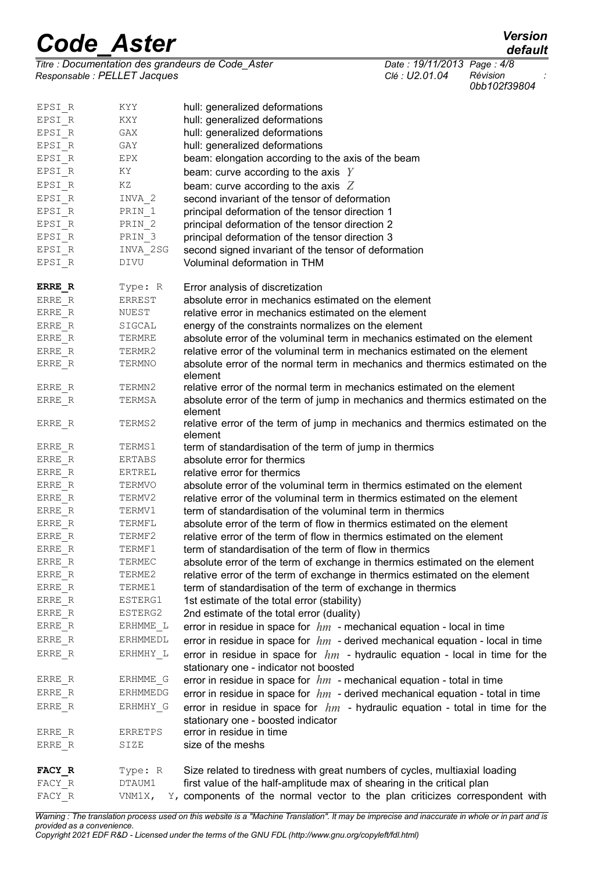| <b>Code Aster</b> | <b>Version</b> |
|-------------------|----------------|
|                   | default        |

*Titre : Documentation des grandeurs de Code\_Aster Date : 19/11/2013 Page : 4/8 Responsable : PELLET Jacques Clé : U2.01.04 Révision :*

FACY\_R VNM1X, Y, components of the normal vector to the plan criticizes correspondent with *Warning : The translation process used on this website is a "Machine Translation". It may be imprecise and inaccurate in whole or in part and is*

| EPSI R                | KYY             | hull: generalized deformations                                                                                            |
|-----------------------|-----------------|---------------------------------------------------------------------------------------------------------------------------|
| EPSI R                | KXY             | hull: generalized deformations                                                                                            |
| EPSI R                | GAX             | hull: generalized deformations                                                                                            |
| EPSI R                | GAY             | hull: generalized deformations                                                                                            |
| EPSI R                | EPX             | beam: elongation according to the axis of the beam                                                                        |
| EPSI R                | ΚY              | beam: curve according to the axis $Y$                                                                                     |
| EPSI R                | ΚZ              | beam: curve according to the axis $Z$                                                                                     |
| EPSI R                | INVA 2          | second invariant of the tensor of deformation                                                                             |
| EPSI R                | PRIN 1          | principal deformation of the tensor direction 1                                                                           |
| EPSI R                | PRIN 2          | principal deformation of the tensor direction 2                                                                           |
| EPSI R                | PRIN 3          | principal deformation of the tensor direction 3                                                                           |
| EPSI R                | INVA 2SG        | second signed invariant of the tensor of deformation                                                                      |
| EPSI R                | DIVU            | Voluminal deformation in THM                                                                                              |
| ERRE R                | Type: R         | Error analysis of discretization                                                                                          |
| ERRE R                | ERREST          | absolute error in mechanics estimated on the element                                                                      |
| ERRE R                | NUEST           | relative error in mechanics estimated on the element                                                                      |
| ERRE R                | SIGCAL          | energy of the constraints normalizes on the element                                                                       |
| ERRE R                | TERMRE          | absolute error of the voluminal term in mechanics estimated on the element                                                |
| ERRE R                | TERMR2          | relative error of the voluminal term in mechanics estimated on the element                                                |
| ERRE R                | TERMNO          | absolute error of the normal term in mechanics and thermics estimated on the<br>element                                   |
| ERRE R                | TERMN2          | relative error of the normal term in mechanics estimated on the element                                                   |
| ERRE R                | TERMSA          | absolute error of the term of jump in mechanics and thermics estimated on the<br>element                                  |
| ERRE R                | TERMS2          | relative error of the term of jump in mechanics and thermics estimated on the<br>element                                  |
| ERRE R                | TERMS1          | term of standardisation of the term of jump in thermics                                                                   |
| ERRE R                | ERTABS          | absolute error for thermics                                                                                               |
| ERRE R                | ERTREL          | relative error for thermics                                                                                               |
| ERRE R                | TERMVO          | absolute error of the voluminal term in thermics estimated on the element                                                 |
| ERRE R                | TERMV2          | relative error of the voluminal term in thermics estimated on the element                                                 |
| ERRE R                | TERMV1          | term of standardisation of the voluminal term in thermics                                                                 |
| ERRE R                | TERMFL          | absolute error of the term of flow in thermics estimated on the element                                                   |
| ERRE R                | TERMF2          | relative error of the term of flow in thermics estimated on the element                                                   |
| ERRE R                | TERMF1          | term of standardisation of the term of flow in thermics                                                                   |
| $ERRE$ <sub>_</sub> R | TERMEC          | absolute error of the term of exchange in thermics estimated on the element                                               |
| ERRE R                | TERME2          | relative error of the term of exchange in thermics estimated on the element                                               |
| ERRE R                | TERME1          | term of standardisation of the term of exchange in thermics                                                               |
| ERRE R                | ESTERG1         | 1st estimate of the total error (stability)                                                                               |
| ERRE R                | ESTERG2         | 2nd estimate of the total error (duality)                                                                                 |
| ERRE R                | ERHMME L        | error in residue in space for $hm$ - mechanical equation - local in time                                                  |
| ERRE R                | ERHMMEDL        | error in residue in space for $hm$ - derived mechanical equation - local in time                                          |
| ERRE R                | ERHMHY L        | error in residue in space for $hm$ - hydraulic equation - local in time for the<br>stationary one - indicator not boosted |
| ERRE R                | ERHMME G        | error in residue in space for $hm$ - mechanical equation - total in time                                                  |
| ERRE R                | <b>ERHMMEDG</b> | error in residue in space for $hm$ - derived mechanical equation - total in time                                          |
| ERRE R                | ERHMHY G        | error in residue in space for $hm$ - hydraulic equation - total in time for the                                           |
|                       |                 | stationary one - boosted indicator                                                                                        |
| ERRE R                | ERRETPS         | error in residue in time                                                                                                  |
| ERRE R                | SIZE            | size of the meshs                                                                                                         |
| FACY R                | Type: R         | Size related to tiredness with great numbers of cycles, multiaxial loading                                                |
| FACY R                | DTAUM1          | first value of the half-amplitude max of shearing in the critical plan                                                    |

*default*<br>*Date : 19/11/2013 Page : 4/8* 

*0bb102f39804*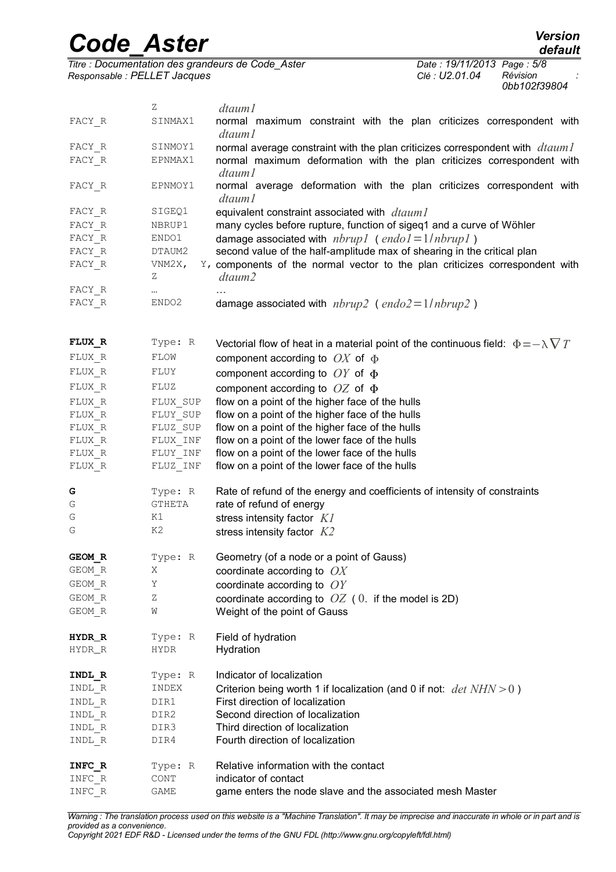|          | <b>Code Aster</b>            | <b>Version</b><br>default                                                                      |
|----------|------------------------------|------------------------------------------------------------------------------------------------|
|          |                              | Titre : Documentation des grandeurs de Code_Aster<br>Date: 19/11/2013 Page: 5/8                |
|          | Responsable : PELLET Jacques | Révision<br>Clé: U2.01.04<br>0bb102f39804                                                      |
|          | Ζ                            | dtaum1                                                                                         |
| FACY R   | SINMAX1                      | normal maximum constraint with the plan criticizes correspondent with<br>dtaum 1               |
| FACY R   | SINMOY1                      | normal average constraint with the plan criticizes correspondent with <i>dtaum l</i>           |
| FACY R   | EPNMAX1                      | normal maximum deformation with the plan criticizes correspondent with<br>dtaum1               |
| FACY R   | EPNMOY1                      | normal average deformation with the plan criticizes correspondent with<br>dtaum 1              |
| $FACT_R$ | SIGEQ1                       | equivalent constraint associated with dtaum 1                                                  |
| FACY R   | NBRUP1                       | many cycles before rupture, function of sigeq1 and a curve of Wöhler                           |
| FACY R   | ENDO1                        | damage associated with $nbrup1$ (endol=1/nbrup1)                                               |
| FACY R   | DTAUM2                       | second value of the half-amplitude max of shearing in the critical plan                        |
| FACY R   | VNM2X,<br>Ζ                  | Y, components of the normal vector to the plan criticizes correspondent with<br>dtaum2         |
| FACY R   | $\cdots$                     |                                                                                                |
| FACY R   | ENDO2                        | damage associated with $nbrup2$ (endo2=1/nbrup2)                                               |
| FLUX_R   | Type: R                      | Vectorial flow of heat in a material point of the continuous field: $\Phi = -\lambda \nabla T$ |
| FLUX R   | FLOW                         | component according to $OX$ of $\Phi$                                                          |
| FLUX R   | FLUY                         | component according to $OY$ of $\Phi$                                                          |
| FLUX R   | FLUZ                         | component according to $OZ$ of $\Phi$                                                          |
| FLUX R   | FLUX SUP                     | flow on a point of the higher face of the hulls                                                |
| FLUX R   | FLUY SUP                     | flow on a point of the higher face of the hulls                                                |
| FLUX R   | FLUZ SUP                     | flow on a point of the higher face of the hulls                                                |
| FLUX R   | FLUX INF                     | flow on a point of the lower face of the hulls                                                 |
| FLUX R   | FLUY INF                     | flow on a point of the lower face of the hulls                                                 |
| $FLUX_R$ | FLUZ INF                     | flow on a point of the lower face of the hulls                                                 |
| G        | Type: R                      | Rate of refund of the energy and coefficients of intensity of constraints                      |
| G        | <b>GTHETA</b>                | rate of refund of energy                                                                       |
| G        | K1                           | stress intensity factor $Kl$                                                                   |
| G        | K2                           | stress intensity factor $K2$                                                                   |
| GEOM R   | Type: R                      | Geometry (of a node or a point of Gauss)                                                       |
| GEOM R   | X                            | coordinate according to $OX$                                                                   |
| GEOM R   | Υ                            | coordinate according to $OY$                                                                   |
| GEOM R   | Ζ                            | coordinate according to $OZ$ (0. if the model is 2D)                                           |
| GEOM R   | W                            | Weight of the point of Gauss                                                                   |
| HYDR_R   | Type: R                      | Field of hydration                                                                             |
| HYDR_R   | HYDR                         | Hydration                                                                                      |
| INDL R   | Type: R                      | Indicator of localization                                                                      |
| INDL R   | INDEX                        | Criterion being worth 1 if localization (and 0 if not: $det NHN > 0$ )                         |
| INDL R   | DIR1                         | First direction of localization                                                                |
| INDL R   | DIR2                         | Second direction of localization                                                               |
| INDL R   | DIR3                         | Third direction of localization                                                                |
| $INDL_R$ | DIR4                         | Fourth direction of localization                                                               |
| INFC R   | Type: R                      | Relative information with the contact                                                          |
| INFC R   | CONT                         | indicator of contact                                                                           |

 $I\text{NFC}$ R GAME game enters the node slave and the associated mesh Master

*Warning : The translation process used on this website is a "Machine Translation". It may be imprecise and inaccurate in whole or in part and is provided as a convenience.*

*Copyright 2021 EDF R&D - Licensed under the terms of the GNU FDL (http://www.gnu.org/copyleft/fdl.html)*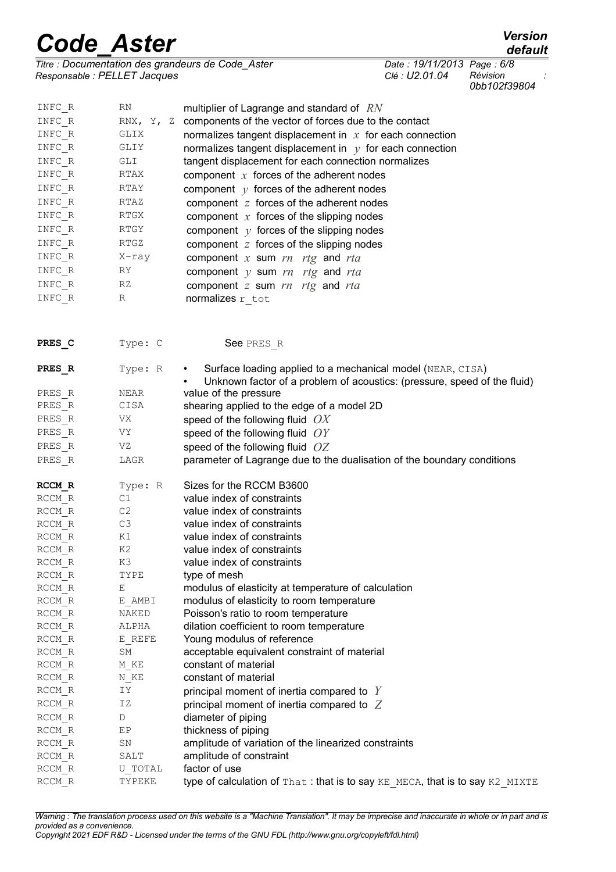|                                                                      | <b>Code Aster</b>            |                                                                                                                                                     |                                             | <b>Version</b><br>default |
|----------------------------------------------------------------------|------------------------------|-----------------------------------------------------------------------------------------------------------------------------------------------------|---------------------------------------------|---------------------------|
|                                                                      | Responsable : PELLET Jacques | Titre : Documentation des grandeurs de Code_Aster                                                                                                   | Date: 19/11/2013 Page: 6/8<br>Clé: U2.01.04 | Révision<br>0bb102f39804  |
| INFC R                                                               | RN                           | multiplier of Lagrange and standard of $RN$                                                                                                         |                                             |                           |
| INFC R                                                               | RNX, Y, Z                    | components of the vector of forces due to the contact                                                                                               |                                             |                           |
| INFC R                                                               | GLIX                         | normalizes tangent displacement in $x$ for each connection                                                                                          |                                             |                           |
| INFC R                                                               | GLIY                         | normalizes tangent displacement in $y$ for each connection                                                                                          |                                             |                           |
| INFC R                                                               | GLI                          | tangent displacement for each connection normalizes                                                                                                 |                                             |                           |
| INFC R                                                               | RTAX                         | component $x$ forces of the adherent nodes                                                                                                          |                                             |                           |
| INFC R                                                               | RTAY                         | component $y$ forces of the adherent nodes                                                                                                          |                                             |                           |
| INFC R                                                               | RTAZ                         | component $z$ forces of the adherent nodes                                                                                                          |                                             |                           |
| INFC R                                                               | RTGX                         | component $x$ forces of the slipping nodes                                                                                                          |                                             |                           |
| INFC R                                                               | RTGY                         | component $y$ forces of the slipping nodes                                                                                                          |                                             |                           |
| INFC R                                                               | RTGZ                         | component $z$ forces of the slipping nodes                                                                                                          |                                             |                           |
| INFC R                                                               | X-ray                        | component $x$ sum $rn$ rtg and rta                                                                                                                  |                                             |                           |
| INFC R                                                               | RY                           | component $y$ sum $rn$ rtg and rta                                                                                                                  |                                             |                           |
| INFC R                                                               | RZ                           | component $z$ sum $rn$ rtg and rta                                                                                                                  |                                             |                           |
| INFC R                                                               | R                            | normalizes r tot                                                                                                                                    |                                             |                           |
| PRES C                                                               | Type: C                      | See PRES R                                                                                                                                          |                                             |                           |
| PRES R                                                               | Type: R                      | Surface loading applied to a mechanical model (NEAR, CISA)<br>$\bullet$<br>Unknown factor of a problem of acoustics: (pressure, speed of the fluid) |                                             |                           |
| PRES R                                                               | NEAR                         | value of the pressure                                                                                                                               |                                             |                           |
| PRES R                                                               | CISA                         | shearing applied to the edge of a model 2D                                                                                                          |                                             |                           |
| PRES R                                                               | VX                           | speed of the following fluid $OX$                                                                                                                   |                                             |                           |
| PRES R                                                               | VY                           | speed of the following fluid $OY$                                                                                                                   |                                             |                           |
| PRES R                                                               | VZ                           | speed of the following fluid $OZ$                                                                                                                   |                                             |                           |
| PRES R                                                               | LAGR                         | parameter of Lagrange due to the dualisation of the boundary conditions                                                                             |                                             |                           |
| RCCM R                                                               | Type: R                      | Sizes for the RCCM B3600                                                                                                                            |                                             |                           |
| RCCM R                                                               | C1                           | value index of constraints                                                                                                                          |                                             |                           |
| RCCM R                                                               | C2                           | value index of constraints                                                                                                                          |                                             |                           |
| RCCM R                                                               | C3                           | value index of constraints                                                                                                                          |                                             |                           |
| RCCM R                                                               | K1                           | value index of constraints                                                                                                                          |                                             |                           |
| RCCM R                                                               | K2                           | value index of constraints                                                                                                                          |                                             |                           |
| RCCM R                                                               | K3                           | value index of constraints                                                                                                                          |                                             |                           |
| RCCM R                                                               | TYPE                         | type of mesh                                                                                                                                        |                                             |                           |
| RCCM R                                                               | Е                            | modulus of elasticity at temperature of calculation                                                                                                 |                                             |                           |
| RCCM R                                                               | E AMBI                       | modulus of elasticity to room temperature                                                                                                           |                                             |                           |
| RCCM R                                                               | NAKED                        | Poisson's ratio to room temperature                                                                                                                 |                                             |                           |
| RCCM R                                                               | ALPHA                        | dilation coefficient to room temperature                                                                                                            |                                             |                           |
| RCCM R<br>RCCM R                                                     | E REFE<br>SΜ                 | Young modulus of reference<br>acceptable equivalent constraint of material                                                                          |                                             |                           |
| RCCM R                                                               | M KE                         | constant of material                                                                                                                                |                                             |                           |
| RCCM R                                                               | N KE                         | constant of material                                                                                                                                |                                             |                           |
| RCCM R                                                               | IΥ                           | principal moment of inertia compared to $Y$                                                                                                         |                                             |                           |
| RCCM R                                                               | ΙZ                           | principal moment of inertia compared to $Z$                                                                                                         |                                             |                           |
| RCCM R                                                               | D                            | diameter of piping                                                                                                                                  |                                             |                           |
| $\ensuremath{\mathsf{RCCM}}\xspace$ $\ensuremath{\mathsf{R}}\xspace$ | ЕP                           | thickness of piping                                                                                                                                 |                                             |                           |
| RCCM R                                                               | SN                           | amplitude of variation of the linearized constraints                                                                                                |                                             |                           |
| RCCM R                                                               | SALT                         | amplitude of constraint                                                                                                                             |                                             |                           |
| RCCM R                                                               | U TOTAL                      | factor of use                                                                                                                                       |                                             |                           |
| RCCM R                                                               | TYPEKE                       | type of calculation of That: that is to say KE MECA, that is to say K2 MIXTE                                                                        |                                             |                           |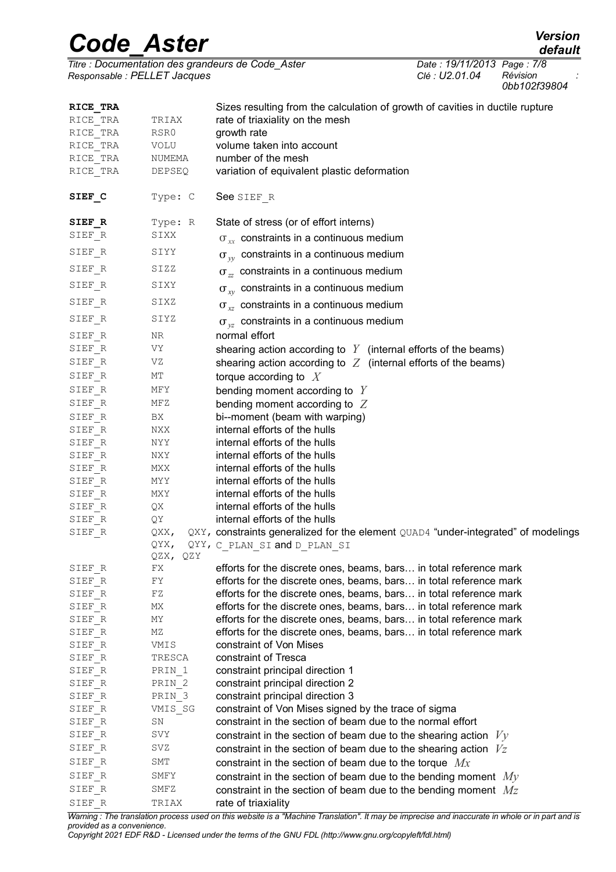## *Code\_Aster Version*

*default*

*Titre : Documentation des grandeurs de Code\_Aster Date : 19/11/2013 Page : 7/8*  $Responsible : PELLET Jacques$ 

*0bb102f39804*

| RICE TRA<br>RICE TRA | TRIAX             | Sizes resulting from the calculation of growth of cavities in ductile rupture<br>rate of triaxiality on the mesh |
|----------------------|-------------------|------------------------------------------------------------------------------------------------------------------|
| RICE TRA             | RSR0              | growth rate                                                                                                      |
| RICE TRA             | VOLU              | volume taken into account                                                                                        |
| RICE TRA             | NUMEMA            | number of the mesh                                                                                               |
| RICE TRA             | <b>DEPSEQ</b>     | variation of equivalent plastic deformation                                                                      |
| SIEF C               | Type: C           | See SIEF R                                                                                                       |
| SIEF R               | Type: R           | State of stress (or of effort interns)                                                                           |
| SIEF R               | SIXX              | $\sigma_{xx}$ constraints in a continuous medium                                                                 |
| SIEF R               | SIYY              | $\sigma_{vv}$ constraints in a continuous medium                                                                 |
| SIEF R               | SIZZ              | $\sigma_{zz}$ constraints in a continuous medium                                                                 |
| SIEF R               | SIXY              | $\sigma_{xy}$ constraints in a continuous medium                                                                 |
| SIEF R               | SIXZ              | $\sigma_{xz}$ constraints in a continuous medium                                                                 |
| SIEF R               | SIYZ              | $\sigma_{vz}$ constraints in a continuous medium                                                                 |
| SIEF R               | NR                | normal effort                                                                                                    |
| SIEF R               | VY                | shearing action according to $Y$ (internal efforts of the beams)                                                 |
| SIEF R               | VZ                | shearing action according to $Z$ (internal efforts of the beams)                                                 |
| SIEF R               | МT                | torque according to $X$                                                                                          |
| SIEF R               | MFY               | bending moment according to $Y$                                                                                  |
| SIEF R               | MFZ               | bending moment according to $Z$                                                                                  |
| SIEF R               | BX                | bi--moment (beam with warping)                                                                                   |
| SIEF R               | NXX               | internal efforts of the hulls                                                                                    |
| SIEF R               | NYY               | internal efforts of the hulls                                                                                    |
| SIEF R               | NXY               | internal efforts of the hulls                                                                                    |
| SIEF R               | MXX               | internal efforts of the hulls                                                                                    |
| SIEF R               | MYY               | internal efforts of the hulls                                                                                    |
| SIEF R               | MXY               | internal efforts of the hulls                                                                                    |
| SIEF R               | QX                | internal efforts of the hulls                                                                                    |
| SIEF R               | QY                | internal efforts of the hulls                                                                                    |
| $SIEF_R$             | QXX,              | QXY, constraints generalized for the element QUAD4 "under-integrated" of modelings                               |
|                      | QYX,              | QYY, C PLAN SI and D PLAN SI                                                                                     |
|                      | QZX,<br>QZY       |                                                                                                                  |
| SIEF R               | FX                | efforts for the discrete ones, beams, bars in total reference mark                                               |
| SIEF R               | FY                | efforts for the discrete ones, beams, bars in total reference mark                                               |
| SIEF R               | FZ                | efforts for the discrete ones, beams, bars in total reference mark                                               |
| SIEF R               | МX                | efforts for the discrete ones, beams, bars in total reference mark                                               |
| SIEF R               | MΥ                | efforts for the discrete ones, beams, bars in total reference mark                                               |
| SIEF R               | MΖ                | efforts for the discrete ones, beams, bars in total reference mark                                               |
| SIEF R               | VMIS              | constraint of Von Mises                                                                                          |
| SIEF R               | TRESCA            | constraint of Tresca                                                                                             |
| SIEF R               | PRIN 1            | constraint principal direction 1                                                                                 |
| SIEF R               | PRIN 2            | constraint principal direction 2                                                                                 |
| SIEF R               | PRIN <sub>3</sub> | constraint principal direction 3                                                                                 |
| SIEF R               | VMIS SG           | constraint of Von Mises signed by the trace of sigma                                                             |
| SIEF R               | ${\tt SN}$        | constraint in the section of beam due to the normal effort                                                       |
| SIEF R               | SVY               | constraint in the section of beam due to the shearing action $V_y$                                               |
| SIEF R               | SVZ               | constraint in the section of beam due to the shearing action $V_z$                                               |
| SIEF R               | SMT               | constraint in the section of beam due to the torque $Mx$                                                         |
| SIEF R               | SMFY              | constraint in the section of beam due to the bending moment $M_V$                                                |
| SIEF R               | SMFZ              | constraint in the section of beam due to the bending moment $Mz$                                                 |
| SIEF R               | TRIAX             | rate of triaxiality                                                                                              |

*Warning : The translation process used on this website is a "Machine Translation". It may be imprecise and inaccurate in whole or in part and is provided as a convenience.*

*Copyright 2021 EDF R&D - Licensed under the terms of the GNU FDL (http://www.gnu.org/copyleft/fdl.html)*